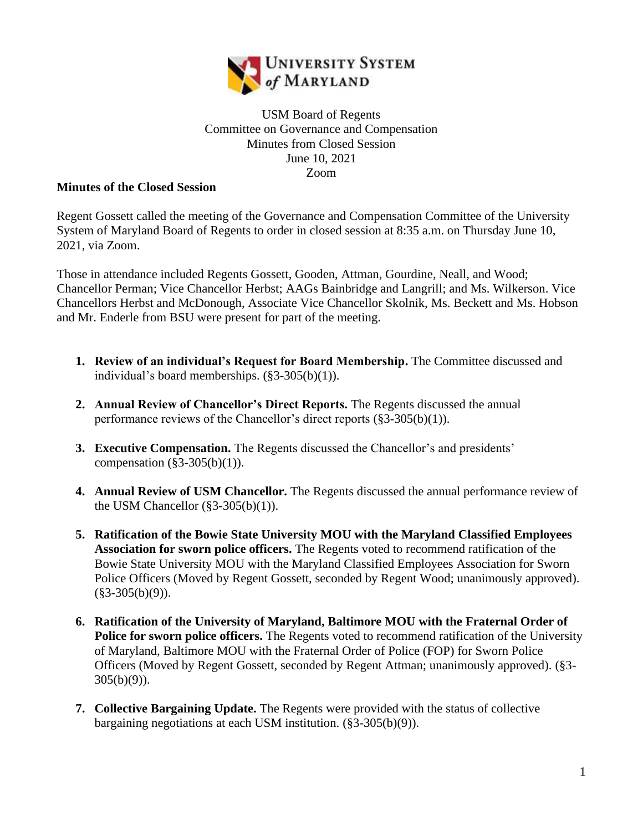

## USM Board of Regents Committee on Governance and Compensation Minutes from Closed Session June 10, 2021 Zoom

## **Minutes of the Closed Session**

Regent Gossett called the meeting of the Governance and Compensation Committee of the University System of Maryland Board of Regents to order in closed session at 8:35 a.m. on Thursday June 10, 2021, via Zoom.

Those in attendance included Regents Gossett, Gooden, Attman, Gourdine, Neall, and Wood; Chancellor Perman; Vice Chancellor Herbst; AAGs Bainbridge and Langrill; and Ms. Wilkerson. Vice Chancellors Herbst and McDonough, Associate Vice Chancellor Skolnik, Ms. Beckett and Ms. Hobson and Mr. Enderle from BSU were present for part of the meeting.

- **1. Review of an individual's Request for Board Membership.** The Committee discussed and individual's board memberships. (§3-305(b)(1)).
- **2. Annual Review of Chancellor's Direct Reports.** The Regents discussed the annual performance reviews of the Chancellor's direct reports (§3-305(b)(1)).
- **3. Executive Compensation.** The Regents discussed the Chancellor's and presidents' compensation  $(\frac{83-305(b)}{1})$ .
- **4. Annual Review of USM Chancellor.** The Regents discussed the annual performance review of the USM Chancellor  $(\S 3 - 305(b)(1))$ .
- **5. Ratification of the Bowie State University MOU with the Maryland Classified Employees Association for sworn police officers.** The Regents voted to recommend ratification of the Bowie State University MOU with the Maryland Classified Employees Association for Sworn Police Officers (Moved by Regent Gossett, seconded by Regent Wood; unanimously approved).  $(\$3-305(b)(9))$ .
- **6. Ratification of the University of Maryland, Baltimore MOU with the Fraternal Order of Police for sworn police officers.** The Regents voted to recommend ratification of the University of Maryland, Baltimore MOU with the Fraternal Order of Police (FOP) for Sworn Police Officers (Moved by Regent Gossett, seconded by Regent Attman; unanimously approved). (§3- 305(b)(9)).
- **7. Collective Bargaining Update.** The Regents were provided with the status of collective bargaining negotiations at each USM institution. (§3-305(b)(9)).